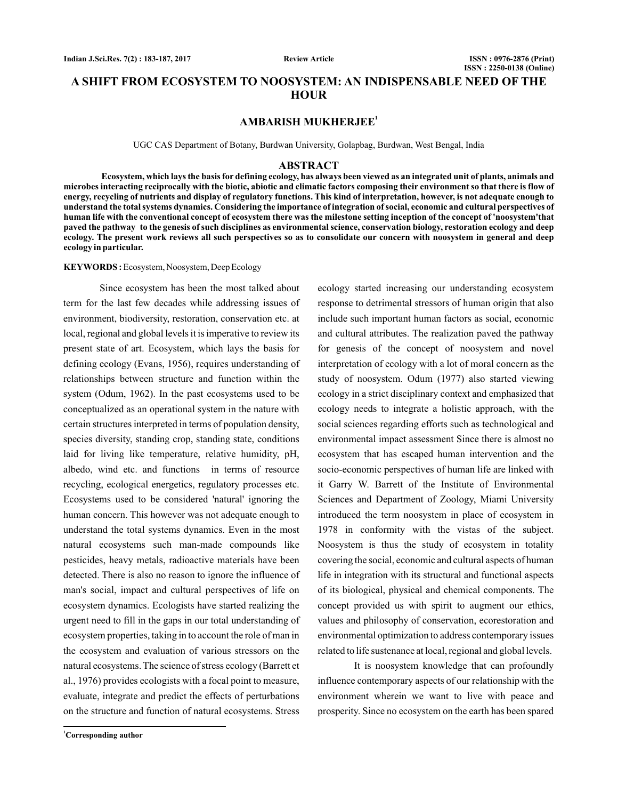**Review Article**

## **A SHIFT FROM ECOSYSTEM TO NOOSYSTEM: AN INDISPENSABLE NEED OF THE HOUR**

## **AMBARISH MUKHERJEE<sup>1</sup>**

UGC CAS Department of Botany, Burdwan University, Golapbag, Burdwan, West Bengal, India

#### **ABSTRACT**

**Ecosystem, which lays the basis for defining ecology, has always been viewed as an integrated unit of plants, animals and microbes interacting reciprocally with the biotic, abiotic and climatic factors composing their environment so that there is flow of energy, recycling of nutrients and display of regulatory functions. This kind of interpretation, however, is not adequate enough to understand the total systems dynamics. Considering the importance of integration of social, economic and cultural perspectives of human life with the conventional concept of ecosystem there was the milestone setting inception of the concept of 'noosystem'that paved the pathway to the genesis of such disciplines as environmental science, conservation biology, restoration ecology and deep ecology. The present work reviews all such perspectives so as to consolidate our concern with noosystem in general and deep ecology in particular.**

#### KEYWORDS: Ecosystem, Noosystem, Deep Ecology

Since ecosystem has been the most talked about term for the last few decades while addressing issues of environment, biodiversity, restoration, conservation etc. at local, regional and global levels it is imperative to review its present state of art. Ecosystem, which lays the basis for defining ecology (Evans, 1956), requires understanding of relationships between structure and function within the system (Odum, 1962). In the past ecosystems used to be conceptualized as an operational system in the nature with certain structures interpreted in terms of population density, species diversity, standing crop, standing state, conditions laid for living like temperature, relative humidity, pH, albedo, wind etc. and functions in terms of resource recycling, ecological energetics, regulatory processes etc. Ecosystems used to be considered 'natural' ignoring the human concern. This however was not adequate enough to understand the total systems dynamics. Even in the most natural ecosystems such man-made compounds like pesticides, heavy metals, radioactive materials have been detected. There is also no reason to ignore the influence of man's social, impact and cultural perspectives of life on ecosystem dynamics. Ecologists have started realizing the urgent need to fill in the gaps in our total understanding of ecosystem properties, taking in to account the role of man in the ecosystem and evaluation of various stressors on the natural ecosystems. The science of stress ecology (Barrett et al., 1976) provides ecologists with a focal point to measure, evaluate, integrate and predict the effects of perturbations on the structure and function of natural ecosystems. Stress

ecology started increasing our understanding ecosystem response to detrimental stressors of human origin that also include such important human factors as social, economic and cultural attributes. The realization paved the pathway for genesis of the concept of noosystem and novel interpretation of ecology with a lot of moral concern as the study of noosystem. Odum (1977) also started viewing ecology in a strict disciplinary context and emphasized that ecology needs to integrate a holistic approach, with the social sciences regarding efforts such as technological and environmental impact assessment Since there is almost no ecosystem that has escaped human intervention and the socio-economic perspectives of human life are linked with it Garry W. Barrett of the Institute of Environmental Sciences and Department of Zoology, Miami University introduced the term noosystem in place of ecosystem in 1978 in conformity with the vistas of the subject. Noosystem is thus the study of ecosystem in totality covering the social, economic and cultural aspects of human life in integration with its structural and functional aspects of its biological, physical and chemical components. The concept provided us with spirit to augment our ethics, values and philosophy of conservation, ecorestoration and environmental optimization to address contemporary issues related to life sustenance at local, regional and global levels.

It is noosystem knowledge that can profoundly influence contemporary aspects of our relationship with the environment wherein we want to live with peace and prosperity. Since no ecosystem on the earth has been spared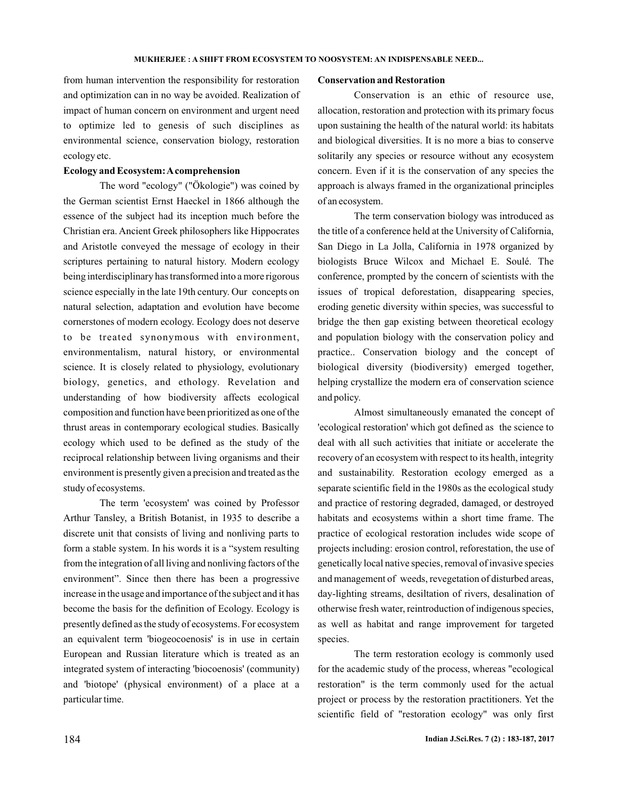# from human intervention the responsibility for restoration and optimization can in no way be avoided. Realization of impact of human concern on environment and urgent need to optimize led to genesis of such disciplines as environmental science, conservation biology, restoration ecology etc.

### **Ecology and Ecosystem:Acomprehension**

The word "ecology" ("Ökologie") was coined by the German scientist Ernst Haeckel in 1866 although the essence of the subject had its inception much before the Christian era. Ancient Greek philosophers like Hippocrates and Aristotle conveyed the message of ecology in their scriptures pertaining to natural history. Modern ecology being interdisciplinary has transformed into a more rigorous science especially in the late 19th century. Our concepts on natural selection, adaptation and evolution have become cornerstones of modern ecology. Ecology does not deserve to be treated synonymous with environment, environmentalism, natural history, or environmental science. It is closely related to physiology, evolutionary biology, genetics, and ethology. Revelation and understanding of how biodiversity affects ecological composition and function have been prioritized as one of the thrust areas in contemporary ecological studies. Basically ecology which used to be defined as the study of the reciprocal relationship between living organisms and their environment is presently given a precision and treated as the study of ecosystems.

The term 'ecosystem' was coined by Professor Arthur Tansley, a British Botanist, in 1935 to describe a discrete unit that consists of living and nonliving parts to form a stable system. In his words it is a "system resulting from the integration of all living and nonliving factors of the environment". Since then there has been a progressive increase in the usage and importance of the subject and it has become the basis for the definition of Ecology. Ecology is presently defined as the study of ecosystems. For ecosystem an equivalent term 'biogeocoenosis' is in use in certain European and Russian literature which is treated as an integrated system of interacting 'biocoenosis' (community) and 'biotope' (physical environment) of a place at a particular time.

### **Conservation and Restoration**

Conservation is an ethic of resource use, allocation, restoration and protection with its primary focus upon sustaining the health of the natural world: its habitats and biological diversities. It is no more a bias to conserve solitarily any species or resource without any ecosystem concern. Even if it is the conservation of any species the approach is always framed in the organizational principles of an ecosystem.

The term conservation biology was introduced as the title of a conference held at the University of California, San Diego in La Jolla, California in 1978 organized by biologists Bruce Wilcox and Michael E. Soulé. The conference, prompted by the concern of scientists with the issues of tropical deforestation, disappearing species, eroding genetic diversity within species, was successful to bridge the then gap existing between theoretical ecology and population biology with the conservation policy and practice.. Conservation biology and the concept of biological diversity (biodiversity) emerged together, helping crystallize the modern era of conservation science and policy.

Almost simultaneously emanated the concept of 'ecological restoration' which got defined as the science to deal with all such activities that initiate or accelerate the recovery of an ecosystem with respect to its health, integrity and sustainability. Restoration ecology emerged as a separate scientific field in the 1980s as the ecological study and practice of restoring degraded, damaged, or destroyed habitats and ecosystems within a short time frame. The practice of ecological restoration includes wide scope of projects including: erosion control, reforestation, the use of genetically local native species, removal of invasive species and management of weeds, revegetation of disturbed areas, day-lighting streams, desiltation of rivers, desalination of otherwise fresh water, reintroduction of indigenous species, as well as habitat and range improvement for targeted species.

The term restoration ecology is commonly used for the academic study of the process, whereas "ecological restoration" is the term commonly used for the actual project or process by the restoration practitioners. Yet the scientific field of "restoration ecology" was only first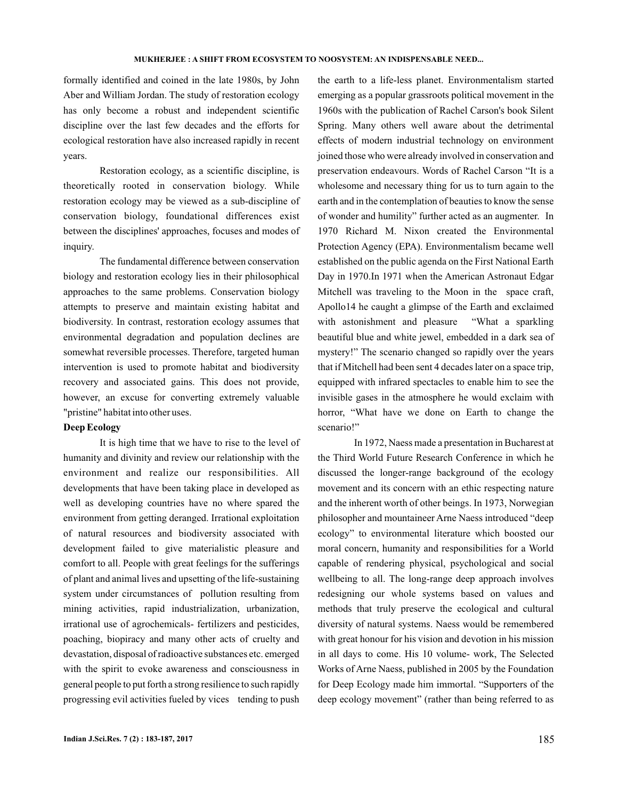#### **MUKHERJEE : A SHIFT FROM ECOSYSTEM TO NOOSYSTEM: AN INDISPENSABLE NEED...**

formally identified and coined in the late 1980s, by John Aber and William Jordan. The study of restoration ecology has only become a robust and independent scientific discipline over the last few decades and the efforts for ecological restoration have also increased rapidly in recent years.

Restoration ecology, as a scientific discipline, is theoretically rooted in conservation biology. While restoration ecology may be viewed as a sub-discipline of conservation biology, foundational differences exist between the disciplines' approaches, focuses and modes of inquiry.

The fundamental difference between conservation biology and restoration ecology lies in their philosophical approaches to the same problems. Conservation biology attempts to preserve and maintain existing habitat and biodiversity. In contrast, restoration ecology assumes that environmental degradation and population declines are somewhat reversible processes. Therefore, targeted human intervention is used to promote habitat and biodiversity recovery and associated gains. This does not provide, however, an excuse for converting extremely valuable "pristine" habitat into other uses.

## **Deep Ecology**

It is high time that we have to rise to the level of humanity and divinity and review our relationship with the environment and realize our responsibilities. All developments that have been taking place in developed as well as developing countries have no where spared the environment from getting deranged. Irrational exploitation of natural resources and biodiversity associated with development failed to give materialistic pleasure and comfort to all. People with great feelings for the sufferings of plant and animal lives and upsetting of the life-sustaining system under circumstances of pollution resulting from mining activities, rapid industrialization, urbanization, irrational use of agrochemicals- fertilizers and pesticides, poaching, biopiracy and many other acts of cruelty and devastation, disposal of radioactive substances etc. emerged with the spirit to evoke awareness and consciousness in general people to put forth a strong resilience to such rapidly progressing evil activities fueled by vices tending to push

the earth to a life-less planet. Environmentalism started emerging as a popular grassroots political movement in the 1960s with the publication of Rachel Carson's book Silent Spring. Many others well aware about the detrimental effects of modern industrial technology on environment joined those who were already involved in conservation and preservation endeavours. Words of Rachel Carson "It is a wholesome and necessary thing for us to turn again to the earth and in the contemplation of beauties to know the sense of wonder and humility" further acted as an augmenter. In 1970 Richard M. Nixon created the Environmental Protection Agency (EPA). Environmentalism became well established on the public agenda on the First National Earth Day in 1970.In 1971 when the American Astronaut Edgar Mitchell was traveling to the Moon in the space craft, Apollo14 he caught a glimpse of the Earth and exclaimed with astonishment and pleasure "What a sparkling beautiful blue and white jewel, embedded in a dark sea of mystery!" The scenario changed so rapidly over the years that if Mitchell had been sent 4 decades later on a space trip, equipped with infrared spectacles to enable him to see the invisible gases in the atmosphere he would exclaim with horror, "What have we done on Earth to change the scenario!"

In 1972, Naess made a presentation in Bucharest at the Third World Future Research Conference in which he discussed the longer-range background of the ecology movement and its concern with an ethic respecting nature and the inherent worth of other beings. In 1973, Norwegian philosopher and mountaineer Arne Naess introduced "deep ecology" to environmental literature which boosted our moral concern, humanity and responsibilities for a World capable of rendering physical, psychological and social wellbeing to all. The long-range deep approach involves redesigning our whole systems based on values and methods that truly preserve the ecological and cultural diversity of natural systems. Naess would be remembered with great honour for his vision and devotion in his mission in all days to come. His 10 volume- work, The Selected Works of Arne Naess, published in 2005 by the Foundation for Deep Ecology made him immortal. "Supporters of the deep ecology movement" (rather than being referred to as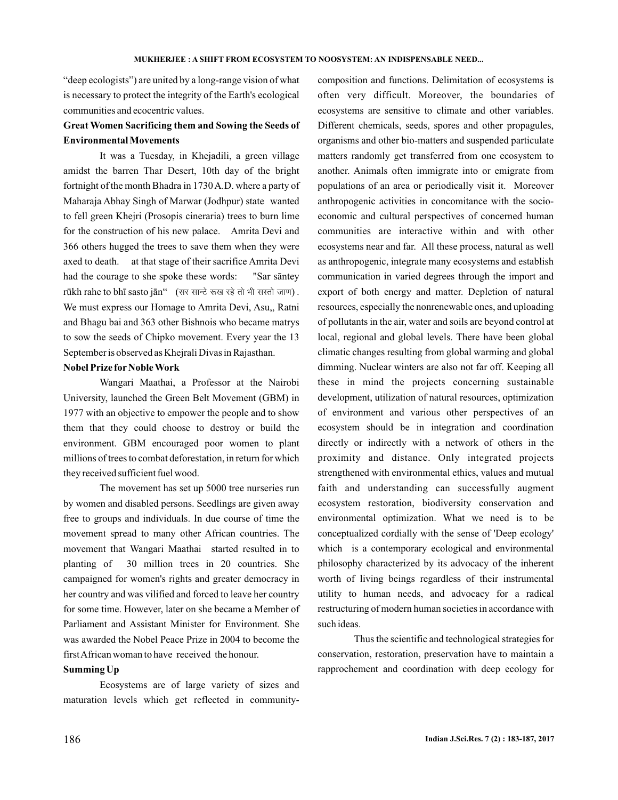"deep ecologists") are united by a long-range vision of what is necessary to protect the integrity of the Earth's ecological communities and ecocentric values.

## **Great Women Sacrificing them and Sowing the Seeds of Environmental Movements**

It was a Tuesday, in Khejadili, a green village amidst the barren Thar Desert, 10th day of the bright fortnight of the month Bhadra in 1730A.D. where a party of Maharaja Abhay Singh of Marwar (Jodhpur) state wanted to fell green Khejri (Prosopis cineraria) trees to burn lime for the construction of his new palace. Amrita Devi and 366 others hugged the trees to save them when they were axed to death. at that stage of their sacrifice Amrita Devi had the courage to she spoke these words:  $r$ ūkh rahe to bhī sasto jān $``\;$  (सर सान्टे रूख रहे तो भी सस्तो जाण) . We must express our Homage to Amrita Devi, Asu,, Ratni and Bhagu bai and 363 other Bishnois who became matrys to sow the seeds of Chipko movement. Every year the 13 September is observed as Khejrali Divas in Rajasthan. "Sar sāntey

## **Nobel Prize for Noble Work**

Wangari Maathai, a Professor at the Nairobi University, launched the Green Belt Movement (GBM) in 1977 with an objective to empower the people and to show them that they could choose to destroy or build the environment. GBM encouraged poor women to plant millions of trees to combat deforestation, in return for which they received sufficient fuel wood.

The movement has set up 5000 tree nurseries run by women and disabled persons. Seedlings are given away free to groups and individuals. In due course of time the movement spread to many other African countries. The movement that Wangari Maathai started resulted in to planting of 30 million trees in 20 countries. She campaigned for women's rights and greater democracy in her country and was vilified and forced to leave her country for some time. However, later on she became a Member of Parliament and Assistant Minister for Environment. She was awarded the Nobel Peace Prize in 2004 to become the firstAfrican woman to have received the honour.

## **Summing Up**

Ecosystems are of large variety of sizes and maturation levels which get reflected in communitycomposition and functions. Delimitation of ecosystems is often very difficult. Moreover, the boundaries of ecosystems are sensitive to climate and other variables. Different chemicals, seeds, spores and other propagules, organisms and other bio-matters and suspended particulate matters randomly get transferred from one ecosystem to another. Animals often immigrate into or emigrate from populations of an area or periodically visit it. Moreover anthropogenic activities in concomitance with the socioeconomic and cultural perspectives of concerned human communities are interactive within and with other ecosystems near and far. All these process, natural as well as anthropogenic, integrate many ecosystems and establish communication in varied degrees through the import and export of both energy and matter. Depletion of natural resources, especially the nonrenewable ones, and uploading of pollutants in the air, water and soils are beyond control at local, regional and global levels. There have been global climatic changes resulting from global warming and global dimming. Nuclear winters are also not far off. Keeping all these in mind the projects concerning sustainable development, utilization of natural resources, optimization of environment and various other perspectives of an ecosystem should be in integration and coordination directly or indirectly with a network of others in the proximity and distance. Only integrated projects strengthened with environmental ethics, values and mutual faith and understanding can successfully augment ecosystem restoration, biodiversity conservation and environmental optimization. What we need is to be conceptualized cordially with the sense of 'Deep ecology' which is a contemporary ecological and environmental philosophy characterized by its advocacy of the inherent worth of living beings regardless of their instrumental utility to human needs, and advocacy for a radical restructuring of modern human societies in accordance with such ideas.

Thus the scientific and technological strategies for conservation, restoration, preservation have to maintain a rapprochement and coordination with deep ecology for